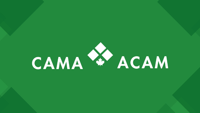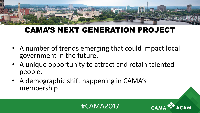

## CAMA'S NEXT GENERATION PROJECT

- A number of trends emerging that could impact local government in the future.
- A unique opportunity to attract and retain talented people.
- A demographic shift happening in CAMA's membership.



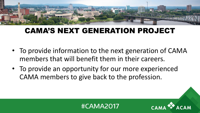

### CAMA'S NEXT GENERATION PROJECT

- To provide information to the next generation of CAMA members that will benefit them in their careers.
- To provide an opportunity for our more experienced CAMA members to give back to the profession.



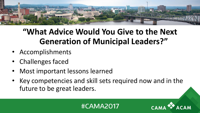

# **"What Advice Would You Give to the Next Generation of Municipal Leaders?"**

- Accomplishments
- Challenges faced
- Most important lessons learned
- Key competencies and skill sets required now and in the future to be great leaders.



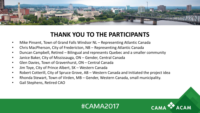

#### **THANK YOU TO THE PARTICIPANTS**

- Mike Pinsent, Town of Grand Falls Windsor NL Representing Atlantic Canada
- Chris MacPherson, City of Fredericton, NB Representing Atlantic Canada
- Duncan Campbell, Retired Bilingual and represents Quebec and a smaller community
- Janice Baker, City of Mississauga, ON Gender, Central Canada
- Glen Davies, Town of Gravenhurst, ON Central Canada
- Jim Toye, City of Prince Albert, SK Western Canada
- Robert Cotterill, City of Spruce Grove, AB Western Canada and Initiated the project idea
- Rhonda Stewart, Town of Virden, MB Gender, Western Canada, small municipality.
- Gail Stephens, Retired CAO



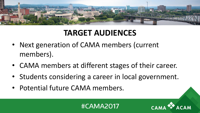

# **TARGET AUDIENCES**

- Next generation of CAMA members (current members).
- CAMA members at different stages of their career.
- Students considering a career in local government.
- Potential future CAMA members.

**#CAMA2017**